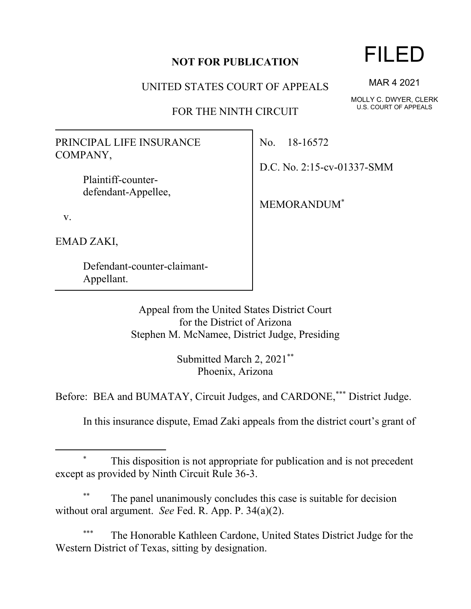## **NOT FOR PUBLICATION**

UNITED STATES COURT OF APPEALS

FOR THE NINTH CIRCUIT

PRINCIPAL LIFE INSURANCE COMPANY,

> Plaintiff-counterdefendant-Appellee,

v.

EMAD ZAKI,

Defendant-counter-claimant-Appellant.

No. 18-16572

D.C. No. 2:15-cv-01337-SMM

MEMORANDUM\*

Appeal from the United States District Court for the District of Arizona Stephen M. McNamee, District Judge, Presiding

> Submitted March 2, 2021\*\* Phoenix, Arizona

Before: BEA and BUMATAY, Circuit Judges, and CARDONE,\*\*\* District Judge.

In this insurance dispute, Emad Zaki appeals from the district court's grant of

## This disposition is not appropriate for publication and is not precedent except as provided by Ninth Circuit Rule 36-3.

The panel unanimously concludes this case is suitable for decision without oral argument. *See* Fed. R. App. P. 34(a)(2).

The Honorable Kathleen Cardone, United States District Judge for the Western District of Texas, sitting by designation.

## FILED

MAR 4 2021

MOLLY C. DWYER, CLERK U.S. COURT OF APPEALS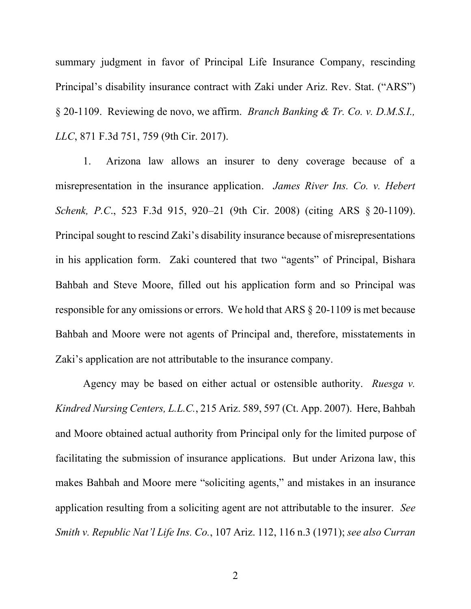summary judgment in favor of Principal Life Insurance Company, rescinding Principal's disability insurance contract with Zaki under Ariz. Rev. Stat. ("ARS") § 20-1109. Reviewing de novo, we affirm. *Branch Banking & Tr. Co. v. D.M.S.I., LLC*, 871 F.3d 751, 759 (9th Cir. 2017).

1. Arizona law allows an insurer to deny coverage because of a misrepresentation in the insurance application. *James River Ins. Co. v. Hebert Schenk, P.C*., 523 F.3d 915, 920–21 (9th Cir. 2008) (citing ARS § 20-1109). Principal sought to rescind Zaki's disability insurance because of misrepresentations in his application form. Zaki countered that two "agents" of Principal, Bishara Bahbah and Steve Moore, filled out his application form and so Principal was responsible for any omissions or errors. We hold that ARS § 20-1109 is met because Bahbah and Moore were not agents of Principal and, therefore, misstatements in Zaki's application are not attributable to the insurance company.

Agency may be based on either actual or ostensible authority. *Ruesga v. Kindred Nursing Centers, L.L.C.*, 215 Ariz. 589, 597 (Ct. App. 2007). Here, Bahbah and Moore obtained actual authority from Principal only for the limited purpose of facilitating the submission of insurance applications. But under Arizona law, this makes Bahbah and Moore mere "soliciting agents," and mistakes in an insurance application resulting from a soliciting agent are not attributable to the insurer. *See Smith v. Republic Nat'l Life Ins. Co.*, 107 Ariz. 112, 116 n.3 (1971); *see also Curran*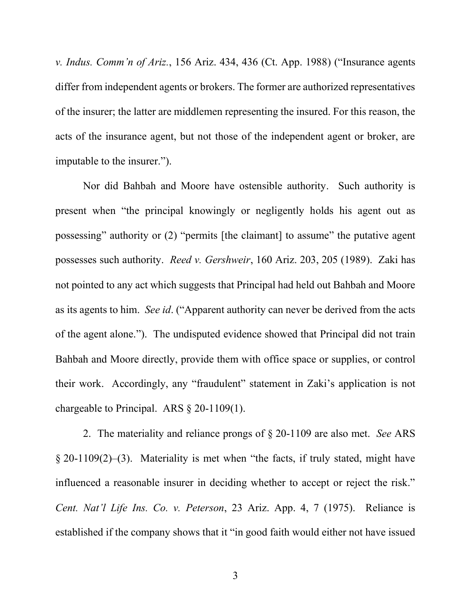*v. Indus. Comm'n of Ariz.*, 156 Ariz. 434, 436 (Ct. App. 1988) ("Insurance agents differ from independent agents or brokers. The former are authorized representatives of the insurer; the latter are middlemen representing the insured. For this reason, the acts of the insurance agent, but not those of the independent agent or broker, are imputable to the insurer.").

Nor did Bahbah and Moore have ostensible authority. Such authority is present when "the principal knowingly or negligently holds his agent out as possessing" authority or (2) "permits [the claimant] to assume" the putative agent possesses such authority. *Reed v. Gershweir*, 160 Ariz. 203, 205 (1989). Zaki has not pointed to any act which suggests that Principal had held out Bahbah and Moore as its agents to him. *See id*. ("Apparent authority can never be derived from the acts of the agent alone."). The undisputed evidence showed that Principal did not train Bahbah and Moore directly, provide them with office space or supplies, or control their work. Accordingly, any "fraudulent" statement in Zaki's application is not chargeable to Principal. ARS § 20-1109(1).

2. The materiality and reliance prongs of § 20-1109 are also met. *See* ARS § 20-1109(2)–(3). Materiality is met when "the facts, if truly stated, might have influenced a reasonable insurer in deciding whether to accept or reject the risk." *Cent. Nat'l Life Ins. Co. v. Peterson*, 23 Ariz. App. 4, 7 (1975). Reliance is established if the company shows that it "in good faith would either not have issued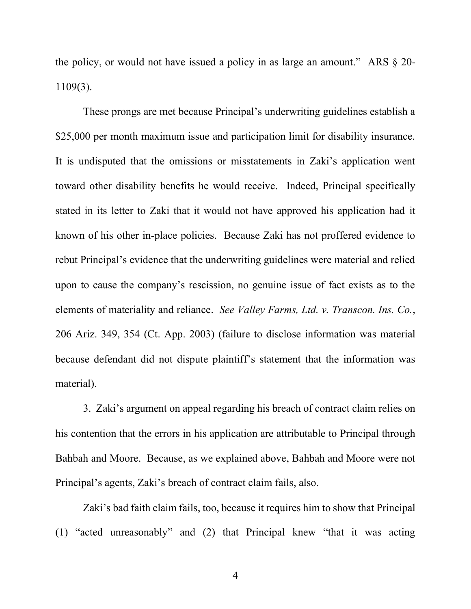the policy, or would not have issued a policy in as large an amount." ARS § 20- 1109(3).

These prongs are met because Principal's underwriting guidelines establish a \$25,000 per month maximum issue and participation limit for disability insurance. It is undisputed that the omissions or misstatements in Zaki's application went toward other disability benefits he would receive. Indeed, Principal specifically stated in its letter to Zaki that it would not have approved his application had it known of his other in-place policies. Because Zaki has not proffered evidence to rebut Principal's evidence that the underwriting guidelines were material and relied upon to cause the company's rescission, no genuine issue of fact exists as to the elements of materiality and reliance. *See Valley Farms, Ltd. v. Transcon. Ins. Co.*, 206 Ariz. 349, 354 (Ct. App. 2003) (failure to disclose information was material because defendant did not dispute plaintiff's statement that the information was material).

3. Zaki's argument on appeal regarding his breach of contract claim relies on his contention that the errors in his application are attributable to Principal through Bahbah and Moore. Because, as we explained above, Bahbah and Moore were not Principal's agents, Zaki's breach of contract claim fails, also.

Zaki's bad faith claim fails, too, because it requires him to show that Principal (1) "acted unreasonably" and (2) that Principal knew "that it was acting

4